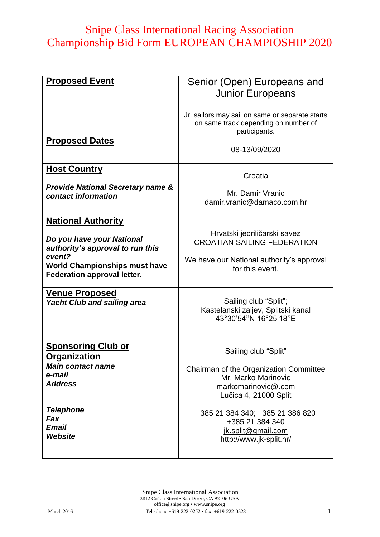| <b>Proposed Event</b>                                                                                                                                                              | Senior (Open) Europeans and<br><b>Junior Europeans</b>                                                                                |  |
|------------------------------------------------------------------------------------------------------------------------------------------------------------------------------------|---------------------------------------------------------------------------------------------------------------------------------------|--|
|                                                                                                                                                                                    | Jr. sailors may sail on same or separate starts<br>on same track depending on number of<br>participants.                              |  |
| <b>Proposed Dates</b>                                                                                                                                                              | 08-13/09/2020                                                                                                                         |  |
| <b>Host Country</b><br><b>Provide National Secretary name &amp;</b><br>contact information                                                                                         | Croatia<br>Mr. Damir Vranic<br>damir.vranic@damaco.com.hr                                                                             |  |
| <b>National Authority</b><br>Do you have your National<br>authority's approval to run this<br>event?<br><b>World Championships must have</b><br><b>Federation approval letter.</b> | Hrvatski jedriličarski savez<br><b>CROATIAN SAILING FEDERATION</b><br>We have our National authority's approval<br>for this event.    |  |
| <u>Venue Proposed</u><br><b>Yacht Club and sailing area</b>                                                                                                                        | Sailing club "Split";<br>Kastelanski zaljev, Splitski kanal<br>43°30'54"N 16°25'18"E                                                  |  |
| <b>Sponsoring Club or</b><br><u>Organization</u><br><b>Main contact name</b><br>e-mail<br><b>Address</b>                                                                           | Sailing club "Split"<br>Chairman of the Organization Committee<br>Mr. Marko Marinovic<br>markomarinovic@.com<br>Lučica 4, 21000 Split |  |
| <b>Telephone</b><br>Fax<br>Email<br>Website                                                                                                                                        | +385 21 384 340; +385 21 386 820<br>+385 21 384 340<br>jk.split@gmail.com<br>http://www.jk-split.hr/                                  |  |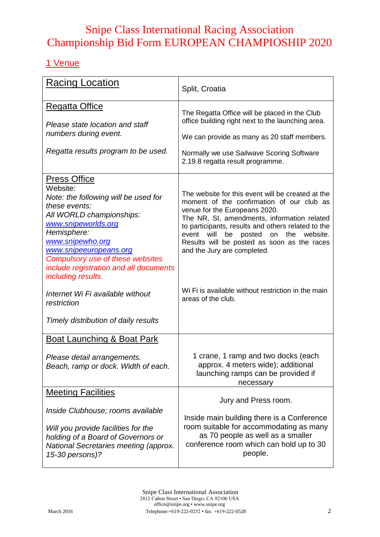#### 1 Venue

| <b>Racing Location</b>                                                                                                                                                                                                                                                                                       | Split, Croatia                                                                                                                                                                                                                                                                                                                                                               |
|--------------------------------------------------------------------------------------------------------------------------------------------------------------------------------------------------------------------------------------------------------------------------------------------------------------|------------------------------------------------------------------------------------------------------------------------------------------------------------------------------------------------------------------------------------------------------------------------------------------------------------------------------------------------------------------------------|
| <b>Regatta Office</b><br>Please state location and staff<br>numbers during event.<br>Regatta results program to be used.                                                                                                                                                                                     | The Regatta Office will be placed in the Club<br>office building right next to the launching area.<br>We can provide as many as 20 staff members.<br>Normally we use Sailwave Scoring Software<br>2.19.8 regatta result programme.                                                                                                                                           |
| <b>Press Office</b><br>Website:<br>Note: the following will be used for<br>these events:<br>All WORLD championships:<br>www.snipeworlds.org<br>Hemisphere:<br>www.snipewho.org<br>www.snipeeuropeans.org<br>Compulsory use of these websites<br>include registration and all documents<br>including results. | The website for this event will be created at the<br>moment of the confirmation of our club as<br>venue for the Europeans 2020.<br>The NR, SI, amendments, information related<br>to participants, results and others related to the<br>posted<br>the<br>event<br>will<br>be<br>on<br>website.<br>Results will be posted as soon as the races<br>and the Jury are completed. |
| Internet Wi Fi available without<br>restriction                                                                                                                                                                                                                                                              | Wi Fi is available without restriction in the main<br>areas of the club.                                                                                                                                                                                                                                                                                                     |
| Timely distribution of daily results                                                                                                                                                                                                                                                                         |                                                                                                                                                                                                                                                                                                                                                                              |
| <b>Boat Launching &amp; Boat Park</b><br>Please detail arrangements.<br>Beach, ramp or dock. Width of each.                                                                                                                                                                                                  | 1 crane, 1 ramp and two docks (each<br>approx. 4 meters wide); additional<br>launching ramps can be provided if<br>necessary                                                                                                                                                                                                                                                 |
| <b>Meeting Facilities</b>                                                                                                                                                                                                                                                                                    | Jury and Press room.                                                                                                                                                                                                                                                                                                                                                         |
| Inside Clubhouse; rooms available<br>Will you provide facilities for the<br>holding of a Board of Governors or<br>National Secretaries meeting (approx.<br>15-30 persons)?                                                                                                                                   | Inside main building there is a Conference<br>room suitable for accommodating as many<br>as 70 people as well as a smaller<br>conference room which can hold up to 30<br>people.                                                                                                                                                                                             |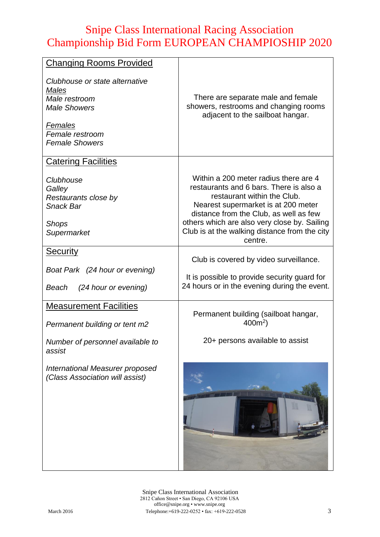| <b>Changing Rooms Provided</b>                                                                                                                |                                                                                                                                                                                                                                                                                                              |
|-----------------------------------------------------------------------------------------------------------------------------------------------|--------------------------------------------------------------------------------------------------------------------------------------------------------------------------------------------------------------------------------------------------------------------------------------------------------------|
| Clubhouse or state alternative<br><b>Males</b><br>Male restroom<br><b>Male Showers</b><br>Females<br>Female restroom<br><b>Female Showers</b> | There are separate male and female<br>showers, restrooms and changing rooms<br>adjacent to the sailboat hangar.                                                                                                                                                                                              |
| <b>Catering Facilities</b>                                                                                                                    |                                                                                                                                                                                                                                                                                                              |
| Clubhouse<br>Galley<br>Restaurants close by<br><b>Snack Bar</b><br><b>Shops</b><br>Supermarket                                                | Within a 200 meter radius there are 4<br>restaurants and 6 bars. There is also a<br>restaurant within the Club.<br>Nearest supermarket is at 200 meter<br>distance from the Club, as well as few<br>others which are also very close by. Sailing<br>Club is at the walking distance from the city<br>centre. |
| <b>Security</b>                                                                                                                               |                                                                                                                                                                                                                                                                                                              |
| Boat Park (24 hour or evening)<br>(24 hour or evening)<br>Beach                                                                               | Club is covered by video surveillance.<br>It is possible to provide security guard for<br>24 hours or in the evening during the event.                                                                                                                                                                       |
| <b>Measurement Facilities</b>                                                                                                                 |                                                                                                                                                                                                                                                                                                              |
| Permanent building or tent m2                                                                                                                 | Permanent building (sailboat hangar,<br>$400m^2$ )                                                                                                                                                                                                                                                           |
| Number of personnel available to<br>assist                                                                                                    | 20+ persons available to assist                                                                                                                                                                                                                                                                              |
| International Measurer proposed<br>(Class Association will assist)                                                                            |                                                                                                                                                                                                                                                                                                              |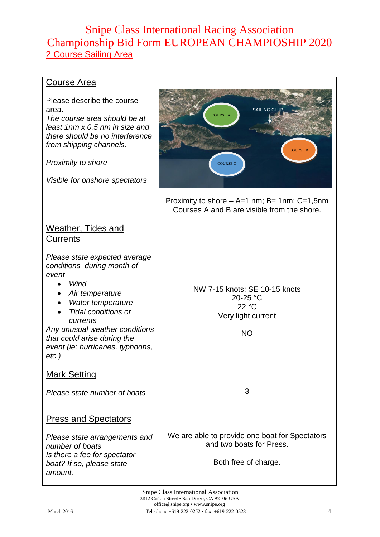### Snipe Class International Racing Association Championship Bid Form EUROPEAN CHAMPIOSHIP 2020 2 Course Sailing Area

| <b>Course Area</b>                                                                                                                                                                                                                                                              |                                                                                                    |
|---------------------------------------------------------------------------------------------------------------------------------------------------------------------------------------------------------------------------------------------------------------------------------|----------------------------------------------------------------------------------------------------|
| Please describe the course<br>area.<br>The course area should be at<br>least 1nm x 0.5 nm in size and<br>there should be no interference<br>from shipping channels.<br>Proximity to shore<br>Visible for onshore spectators                                                     | <b>SAILING CLUB</b><br><b>COURSE A</b><br><b>COURSE B</b><br><b>COURSE C</b>                       |
|                                                                                                                                                                                                                                                                                 | Proximity to shore $-$ A=1 nm; B= 1nm; C=1,5nm<br>Courses A and B are visible from the shore.      |
| <b>Weather, Tides and</b><br><b>Currents</b>                                                                                                                                                                                                                                    |                                                                                                    |
| Please state expected average<br>conditions during month of<br>event<br>Wind<br>Air temperature<br>Water temperature<br><b>Tidal conditions or</b><br>currents<br>Any unusual weather conditions<br>that could arise during the<br>event (ie: hurricanes, typhoons,<br>$etc.$ ) | NW 7-15 knots; SE 10-15 knots<br>20-25 °C<br>22 °C<br>Very light current<br><b>NO</b>              |
| <b>Mark Setting</b>                                                                                                                                                                                                                                                             |                                                                                                    |
| Please state number of boats                                                                                                                                                                                                                                                    | 3                                                                                                  |
| <b>Press and Spectators</b>                                                                                                                                                                                                                                                     |                                                                                                    |
| Please state arrangements and<br>number of boats<br>Is there a fee for spectator<br>boat? If so, please state<br>amount.                                                                                                                                                        | We are able to provide one boat for Spectators<br>and two boats for Press.<br>Both free of charge. |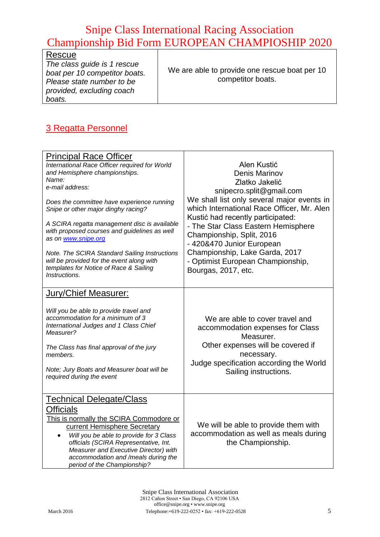| Rescue                        |                                               |
|-------------------------------|-----------------------------------------------|
| The class guide is 1 rescue   |                                               |
| boat per 10 competitor boats. | We are able to provide one rescue boat per 10 |
| Please state number to be     | competitor boats.                             |
| provided, excluding coach     |                                               |
| boats.                        |                                               |

#### 3 Regatta Personnel

| <b>Principal Race Officer</b><br>International Race Officer required for World<br>and Hemisphere championships.<br>Name:<br>e-mail address:<br>Does the committee have experience running<br>Snipe or other major dinghy racing?<br>A SCIRA regatta management disc is available<br>with proposed courses and guidelines as well<br>as on www.snipe.org<br>Note. The SCIRA Standard Sailing Instructions<br>will be provided for the event along with<br>templates for Notice of Race & Sailing<br><i>Instructions.</i> | Alen Kustić<br><b>Denis Marinov</b><br>Zlatko Jakelić<br>snipecro.split@gmail.com<br>We shall list only several major events in<br>which International Race Officer, Mr. Alen<br>Kustić had recently participated:<br>- The Star Class Eastern Hemisphere<br>Championship, Split, 2016<br>- 420&470 Junior European<br>Championship, Lake Garda, 2017<br>- Optimist European Championship,<br>Bourgas, 2017, etc. |
|-------------------------------------------------------------------------------------------------------------------------------------------------------------------------------------------------------------------------------------------------------------------------------------------------------------------------------------------------------------------------------------------------------------------------------------------------------------------------------------------------------------------------|-------------------------------------------------------------------------------------------------------------------------------------------------------------------------------------------------------------------------------------------------------------------------------------------------------------------------------------------------------------------------------------------------------------------|
| Jury/Chief Measurer:<br>Will you be able to provide travel and<br>accommodation for a minimum of 3<br>International Judges and 1 Class Chief<br>Measurer?<br>The Class has final approval of the jury<br>members.<br>Note; Jury Boats and Measurer boat will be<br>required during the event                                                                                                                                                                                                                            | We are able to cover travel and<br>accommodation expenses for Class<br>Measurer.<br>Other expenses will be covered if<br>necessary.<br>Judge specification according the World<br>Sailing instructions.                                                                                                                                                                                                           |
| <u>Technical Delegate/Class</u><br>Officials<br>This is normally the SCIRA Commodore or<br>current Hemisphere Secretary<br>Will you be able to provide for 3 Class<br>officials (SCIRA Representative, Int.<br>Measurer and Executive Director) with<br>accommodation and /meals during the<br>period of the Championship?                                                                                                                                                                                              | We will be able to provide them with<br>accommodation as well as meals during<br>the Championship.                                                                                                                                                                                                                                                                                                                |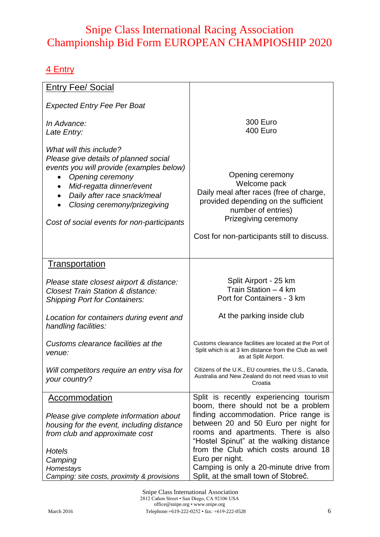#### 4 Entry

| <b>Entry Fee/ Social</b>                                                                                                                                                                                                                                                                            |                                                                                                                                                                                                                           |
|-----------------------------------------------------------------------------------------------------------------------------------------------------------------------------------------------------------------------------------------------------------------------------------------------------|---------------------------------------------------------------------------------------------------------------------------------------------------------------------------------------------------------------------------|
| <b>Expected Entry Fee Per Boat</b>                                                                                                                                                                                                                                                                  |                                                                                                                                                                                                                           |
| In Advance:<br>Late Entry:                                                                                                                                                                                                                                                                          | <b>300 Euro</b><br>400 Euro                                                                                                                                                                                               |
| What will this include?<br>Please give details of planned social<br>events you will provide (examples below)<br>Opening ceremony<br>$\bullet$<br>Mid-regatta dinner/event<br>Daily after race snack/meal<br>$\bullet$<br>Closing ceremony/prizegiving<br>Cost of social events for non-participants | Opening ceremony<br>Welcome pack<br>Daily meal after races (free of charge,<br>provided depending on the sufficient<br>number of entries)<br>Prizegiving ceremony<br>Cost for non-participants still to discuss.          |
| <b>Transportation</b>                                                                                                                                                                                                                                                                               |                                                                                                                                                                                                                           |
| Please state closest airport & distance:<br><b>Closest Train Station &amp; distance:</b><br><b>Shipping Port for Containers:</b>                                                                                                                                                                    | Split Airport - 25 km<br>Train Station - 4 km<br>Port for Containers - 3 km                                                                                                                                               |
| Location for containers during event and<br>handling facilities:                                                                                                                                                                                                                                    | At the parking inside club                                                                                                                                                                                                |
| Customs clearance facilities at the<br>venue:                                                                                                                                                                                                                                                       | Customs clearance facilities are located at the Port of<br>Split which is at 3 km distance from the Club as well<br>as at Split Airport.                                                                                  |
| Will competitors require an entry visa for<br>your country?                                                                                                                                                                                                                                         | Citizens of the U.K., EU countries, the U.S., Canada,<br>Australia and New Zealand do not need visas to visit<br>Croatia                                                                                                  |
| <b>Accommodation</b>                                                                                                                                                                                                                                                                                | Split is recently experiencing tourism<br>boom, there should not be a problem                                                                                                                                             |
| Please give complete information about<br>housing for the event, including distance<br>from club and approximate cost<br>Hotels                                                                                                                                                                     | finding accommodation. Price range is<br>between 20 and 50 Euro per night for<br>rooms and apartments. There is also<br>"Hostel Spinut" at the walking distance<br>from the Club which costs around 18<br>Euro per night. |
| Camping<br>Homestays<br>Camping: site costs, proximity & provisions                                                                                                                                                                                                                                 | Camping is only a 20-minute drive from<br>Split, at the small town of Stobreč.                                                                                                                                            |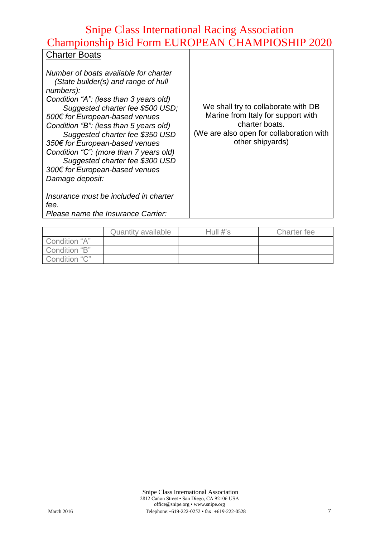#### **Charter Boats**

*Number of boats available for charter (State builder(s) and range of hull numbers): Condition "A": (less than 3 years old) Suggested charter fee \$500 USD; 500€ for European-based venues Condition "B": (less than 5 years old) Suggested charter fee \$350 USD 350€ for European-based venues Condition "C": (more than 7 years old) Suggested charter fee \$300 USD 300€ for European-based venues Damage deposit:*

*Insurance must be included in charter fee.*

We shall try to collaborate with DB Marine from Italy for support with charter boats. (We are also open for collaboration with other shipyards)

| Please name the Insurance Carrier: |  |  |
|------------------------------------|--|--|
|                                    |  |  |

|               | <b>Quantity available</b> | Hull $#s$ | Charter fee |
|---------------|---------------------------|-----------|-------------|
| Condition "A" |                           |           |             |
| Condition "B" |                           |           |             |
| Condition "C" |                           |           |             |